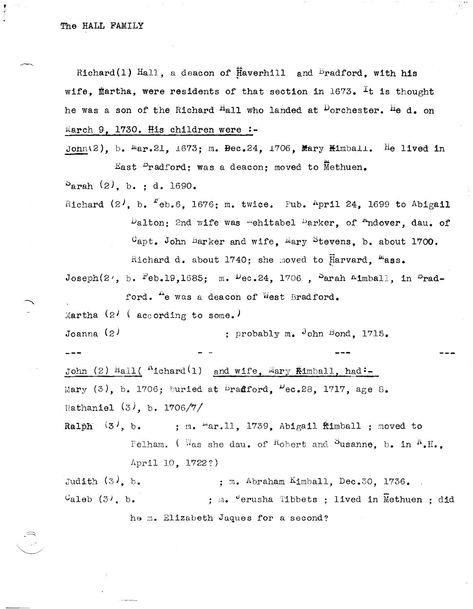Richard(1) Hall, a deacon of Haverhill and <sup>B</sup>radford, with his wife, martha, were residents of that section in  $1673$ . It is thought he was a son of the Richard <sup>H</sup>all who landed at <sup>D</sup>orchester. <sup>H</sup>e d. on March 9. 1730. His children were:-

John(2), b.  $Mar.21$ , 1673; m. Bec.24, 1706, Mary Kimball. He lived in East <sup>D</sup>radford: was a deacon: moved to Methuen.  $S<sub>arah</sub>$  (2), b.; d. 1690.

Richard  $(2^j, b, f^e b, 6, 1676; m, twice.$  Pub. April 24, 1699 to Abigail  $\mu_{\text{alton}}$ ; 2nd wife was mehitabel  $\mu_{\text{arker}}$ , of  $\mu_{\text{ndover}}$ , dau. of  $C$ apt. John Barker and wife. Mary Stevens, b. about 1700. Richard d. about 1740; she moved to Harvard. Mass.

Joseph(2<sup>,</sup>, b. Feb.19,1685; m.  $P_{\text{ec.24}}$ , 1706, Sarah Kimball, in <sup>B</sup>rad-

ford. <sup>H</sup>e was a deacon of West Bradford.

Martha  $(2)$  (according to some.)

Joanna  $(2)$ ; probably  $m_e$  ohn Bond, 1715.

John (2) Hall ( ${}^{n}$ ichard (1) and wife, Mary Kimball, had:-Mary (3), b. 1706; buried at Bradford,  $\mu_{ec.28}$ , 1717, age 8. Nathaniel  $(3)$ , b. 1706/7/

; m. "ar.ll, 1739, Abigail fimball ; moved to Ralph  $(3^{\prime}, b)$ . Pelham. (Was she dau, of Robert and Susanne, b. in  $^N$ .H., April 10. 1722?)

Judith  $(3)$ , b. : m. Abraham  $Kimplall$ . Dec.30. 1736.  $\mathcal{C}_{\text{al}}$ eb  $(3)$ , b. ; m. 'erusha Tibbets ; lived in Methuen ; did he m. Elizabeth Jaques for a second?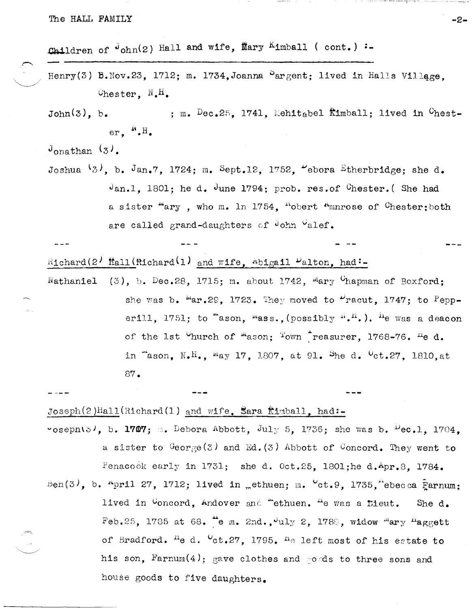Children of  $J_{ohn}(z)$  Hall and wife, Mary Kimball (cont.):-

Henry(3) B.Nov.23, 1712; m. 1734.Joanna  $^{\circ}$ argent; lived in Halls Village. Chester,  $N_{\bullet}H_{\bullet}$ 

 $John(3)$ , b. : m.  $Dec.25.1741.$  Mehitabel Kimball: lived in  $C$ hester.  $^{\text{N}}$ . H.

 $J_{\text{onathan}}(3)$ .

Joshua  $\{3\}$ , b. Jan.7, 1724; m. Sept.12, 1752, "ebora Etherbridge; she d.  $J_{an.1}$ , 1801; he d. June 1794; prob. res.of Chester. (She had a sister "ary, who m. 1n 1754, "obert "mnrose of Chester; both are called grand-daughters of John Valef.

 $R_1$ chard(2)  $\text{Hall(Richard(1) and wife, Abiqail}$   $\mu_{\text{alton, had}}$ :

(3), b. Dec.28, 1715; m. about 1742,  $^{m}$ ary  $^{C}$ hapman of Boxford: Nathaniel she was b.  $\frac{\mu_{\text{ar}}}{2}$ , 29. 1723. They moved to  $\frac{\mu_{\text{r}}}{2}$  racut. 1747: to Pepperill. 1751; to "ason, mass., (possibly  $f^{n}$ ,  $h^{n}$ .). <sup>h</sup>e was a deacon of the 1st <sup>C</sup>hurch of <sup>m</sup>ason; Town reasurer, 1768-76. He d. in "ason. N.H.. "ay 17, 1807, at 91. She d. <sup>0</sup>ct.27, 1810, at  $87.$ 

Joseph(2)Hall(Richard(1) and wife, Sara fimball, had:-"osephi3), b. 1707; a. Debora Abbott, July 5, 1736; she was b.  $^{11}$ ec.1, 1704. a sister to  $G\circ g \circ (3)$  and Ed. (3) Abbott of Concord. They went to Penacook early in 1731; she d. Oct.25, 1801;he d.Apr.8, 1784. Ben(3), b. April 27, 1712; lived in "ethuen; m.  $\text{Cct.9}$ , 1735, ebecca Farnum; lived in Concord, Andover and "ethuen. "e was a fieut. She d. Feb.25, 1785 at 68.  $\stackrel{\text{4}}{ }$  e m. 2nd.,  $\stackrel{\text{4}}{ }$ uly 2, 1788, widow "ary "aggett of Bradford. <sup>H</sup>e d. <sup>0</sup>ct.27, 1795. <sup>H</sup>e left most of his estate to his son, Farnum(4); gave clothes and gods to three sons and house goods to five daughters.

 $-2-$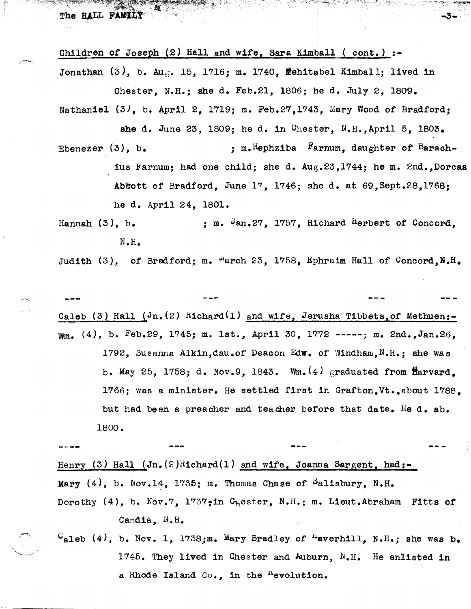Children of Joseph (2) Hall and wife, Sara Kimball ( cont.) :-Jonathan  $(3)$ , b. Aug. 15, 1716; m. 1740, Mehitabel Kimball; lived in Chester, N.H.; She d. Feb.2l, 1806; he d. July 2, 1809.

Nathaniel  $(3)$ , b. April 2, 1719; m. Feb.27,1743, Mary Wood of Bradford;

-3-

Ebenezer  $(3)$ , b. she d. June 23, 1809; he d. in Chester, N.H., April 5, 1803.  $;$  m. Hephziba  $F$ arnum, daughter of Barachius Farnum; had one Child; she d. Aug.23,1744; he m. 2nd. , Dorcas Abfuott of Bradford, June 17, 1746; she d. at 69,Sept.28,1768; he d. April 24, 1801.

Hannah  $(3)$ , b.  $\qquad \qquad ;$  m.  $Jan.27$ , 1757, Richard Herbert of Concord, N.H.

Judith  $(3)$ , of Bradford; m. "arch 23, 1758, Ephraim Hall of Concord,N.H.

Caleb (3) Hall ( $J_n$ , (2) Richard(1) and wife, Jerusha Tibbets, of Methuen:-\Ym. (4), b. Feb.29, 1745; m. 1st., April 30, 1772 -----; m. 2nd.,Jan.26, 1792, Susanna Aikin,dau.of Deacon Edw. of Windham, N.H.; she was b. May 25, 1758; d. Nov.9, 1843.  $W_m$ . $(4)$  graduated from flarvard, 1766; was a minister. He settled first in Grafton,Vt.,about 1788, but had been a preacher and teacher before that date. He d. ab. 1800.

Henry (3) Hall  $(In.(2)Richard(1)$  and wife, Joanna Sargent, had:-Mary  $(4)$ , b. Nov.14, 1735; m. Thomas Chase of Salisbury, N.H. Dorothy (4), b. Nov.7, 1737;in  $C_h$ ester, N.H.; m. Lieut.Abraham Fitts of Candia, N.H.

 $C_{\text{al}}$ eb (4), b. Nov. 1, 1738;m. Mary Bradley of <sup>H</sup>averhill, N.H.; she was b. 1745. They lived in Chester and Auburn, N.H. He enlisted in a Rhode Island  $Co_{\bullet}$ , in the <sup>n</sup>evolution.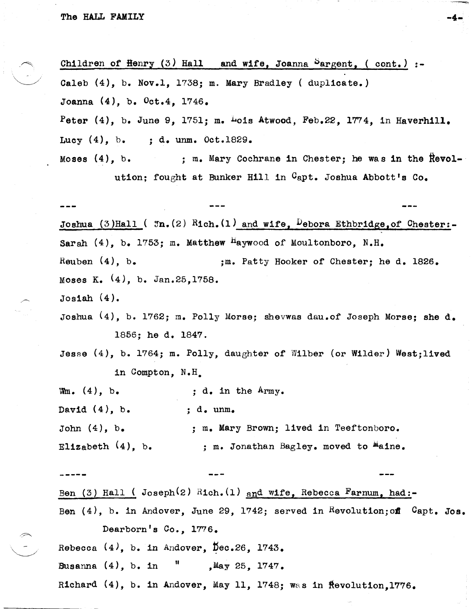$\curvearrowright$  .

 $\searrow$ 

Children of Henry  $(3)$  Hall and wife, Joanna Sargent, ( cont.) :-Caleb (4), b. Nov.1, 1738; m. Mary Bradley ( duplicate.) Joanna (4), b. Oct.4, 1746. Peter  $(4)$ , b. June 9, 1751; m.  $\frac{1}{2}$ ois Atwood, Feb.22, 1774, in Haverhill. Lucy (4), b. ; d. unm. Oct.1829. Moses  $(4)$ , b. : m. Mary Cochrane in Chester; he was in the Revolution; fought at Bunker Hill in Capt. Joshua Abbott's Co. Joshua (3)Hall ( $Im.(2)$  Rich.(1) and wife, Debora Ethbridge, of Chester:-Sarah  $(4)$ , b. 1753; m. Matthew Haywood of Moultonboro, N.H. Reuben  $(4)$ , b.  $;$  ; m. Patty Hooker of Chester; he d. 1826. Moses K. (4), b. Jan.25,1758. Josiah (4). Joshua (4), b. 1762; m. Polly Morse; Shevwas dau.of Joseph Morse; she d. 1856; he d. 1847. Jesse (4), b. 1764; m. Polly, daughter or Wilber (or Wilder) West;lived in Compton, N.H.  $Wm.$  (4), b. David  $(4)$ , b. John  $(4)$ , b. Elizabeth (4), b. ; d. in the Army. ; d. unm. ; m. Mary Brown; lived in Teeftonboro. ; m. Jonathan Bagley. moved to  $^{m}$ aine. Ben (3) Hall ( $Joseph(2)$  Rich. $(1)$  and wife, Rebecca Farnum, had:-Ben  $(4)$ , b. in Andover, June 29, 1742; served in Revolution; of Capt. Jos. Dearborn's Co., 1776. Rebecca  $(4)$ , b. in Andover, Dec.26, 1743. Susanna  $(4)$ , b. in  $\frac{11}{10}$  , May 25, 1747.

-4-

Richard  $(4)$ , b. in Andover, May 11, 1748; was in ftevolution.1776.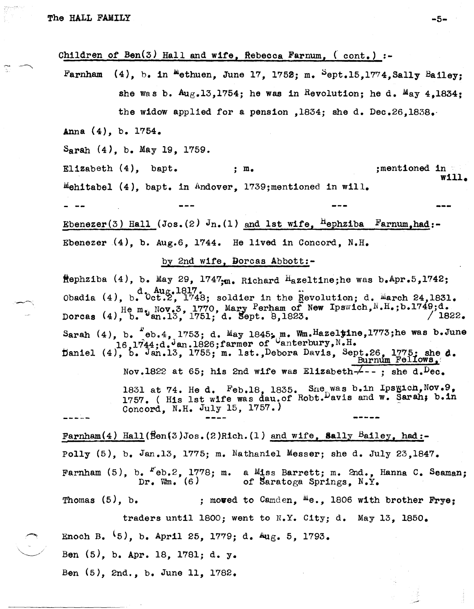Children of Ben(3) Hall and wife, Rebecca Farnum,  $($  cont.) :-

Farnham  $(4)$ , b. in  $^{\text{m}}$ ethuen, June 17, 1752; m.  $^{\text{S}}$ ept.15,1774.Sally Bailey: she was b.  $A_{\text{U},\text{K}}$ ,13,1754; he was in Revolution; he d.  $M_{\text{a}}$ y 4,1834; the widow applied for a pension ,1834; she d. Dec.26,1838.·

Anna (4), b. 1754.

Sarah (4), b. May 19, 1759.

 $\texttt{Elizabeth (4), bapt.}; m.$  ; m. ; ;mentioned in ' will. Mehitabel  $(4)$ , bapt. in Andover, 1739;mentioned in will.

Ebenezer(3) Hall (Jos.(2)  $J_{n}$ .(1) and 1st wife, <sup>H</sup>ephziba Farnum,had:-Ebenezer  $(4)$ , b. Aug.6, 1744. He lived in Concord, N.H.

by 2nd wife, Dorcas Abbott:-

ftephziba (4), b. May 29, 1747<sub>:m.</sub> Richard Hazeltine;he was b.Apr.5,1742; Obadia (4),  $b.$   $d.$   $\Delta wg.$ 1817.<br>Obadia (4),  $b.$   $0ct.2$ , 1748; soldier in the Revolution; d.  $\Delta x$  arch 24,1831. Dorcas (4),  $H_{e}$  m. Nov.3, 1770, Mary Perham of New Ipswich, N.H.;b.1749;d. / 1822. Sarah  $(4)$ , b.  $^*$ eb.4, 1753; d. May 1845; m. Wm.Hazeltine,1773;he was b.June , b. <sup>\*</sup>eb.4, 1753; d. May 1845; m. Wm.Hazelting<br>16.1744:d.Jan.1826;farmer of Vanterbury,N.H. paniel (4), b. Jan.13, 1755; m. 1st.,Debora Davis, Sept.26, 1775; she d. Burnum Fellows, Nov.1822 at 65; his 2nd wife was Elizabeth- $\leftarrow$ --; she d.  $Dec$ . 1831 at 74. He d. Feb.18, 1835. Sne was b.in Ipsyich, Nov. 9, 1757. ( His 1st wife was dau.of Robt. Davis and w. Sarah; b.in Concord, N.H. July 15, 1757.) Farnham(4) Hall( $\beta$ en(3)Jos.(2)Rich.(1) and wife, Sally Bailey, had:-Polly (5), b. Jan.13, 1775; m. Nathaniel Messer; she d. July 23,1847. Farnham  $(5)$ , b.  $F_{e}b.2$ , 1778; m.  $Dr.$  Wm.  $(6)$ a Miss Barrett; m. 2nd., Hanna C. Seaman; of Saratoga Springs,  $N.Y.$ Thomas  $(5)$ , b. ; moved to Camden,  $^{M}e$ ., 1806 with brother Frye; traders until 1800; went to N.Y. City; d. May 13, 1850.

Enoch B.  $(5)$ , b. April 25, 1779; d.  $\text{Aug. } 5$ , 1793.

Ben (5), b. Apr. 18, 1781; d. y.

Ben (5), 2nd., b. June 11, 1782.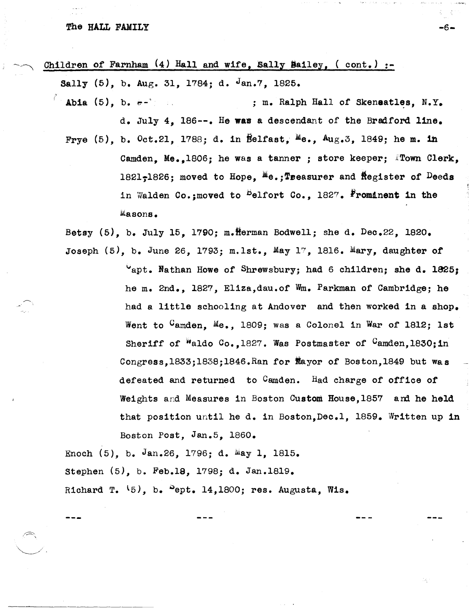## The HALL FAMILY  $-6-$

 $\diagdown\,$  .

Children of Farnham  $(4)$  Hall and wife, Sally Bailey, (  $cont.$ ) :-

Sally  $(5)$ , b. Aug. 31, 1784; d. Jan.7, 1825.

Abia  $(5)$ , b.  $e^{-x}$  ; m. Ralph Hall of Skenaatles, N.Y. d. July 4, 186--. He was a descendant of the Bradford line. Frye (5), b. Oct.21, 1788; d. in Belfast, Me.,  $Aug.3$ , 1849; he m. in Camden. Me.,1806; he was a tanner; store keeper; Flown Clerk, 1821-1826; moved to Hope,  $^{M}e$ .; Treasurer and Register of Deeds in Walden Co.; moved to <sup>B</sup>elfort Co., 1827. **Frominent in the** Masons.

Betsy  $(5)$ , b. July 15, 1790; m. Herman Bodwell; she d. Dec.22, 1820. Joseph (5), b. June 26, 1793; m.lst., May 17 , *IB16.* Mary, daughter of

> ~apt. Nathan Howe of Shrewsbury; had 6 children; she d. 1825; he m. 2nd., 1827, Eliza,dau.of Wm. Parkman of Cambridge; he had a little schooling at Andover and then worked in a shop. Went to <sup>C</sup>amden, Me., 1809; was a Colonel in War of 1812; 1st Sheriff of  $W$ aldo Co.,1827. Was Postmaster of  $C$ amden,1830;in Congress,lB33j1838j1B46.Ran for jayor of Boston,lB49 but was defeated and returned to  $C$ amden. Had charge of office of Weights and Measures in Boston Custom House, 1857 and he held that position untl1 he d. in Boston,Dec.1, 1859. Written up ln Boston Post, Jan.5, 1860.

Enoch  $(5)$ , b. Jan.26, 1796; d.  $May$  1, 1815. Stephen (5), b. Feb.1S, 1798; d. Jan.1819. Richard T.  $(5)$ , b.  $>$ ept. 14,1800; res. Augusta, Wis.